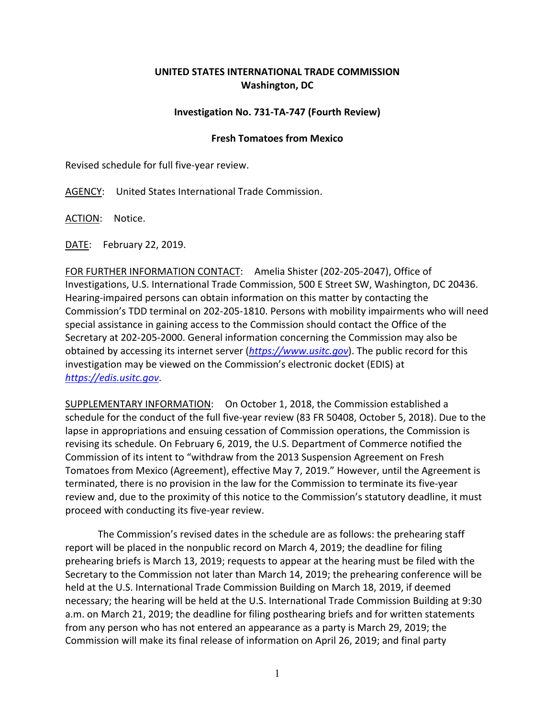## **UNITED STATES INTERNATIONAL TRADE COMMISSION Washington, DC**

## **Investigation No. 731‐TA‐747 (Fourth Review)**

## **Fresh Tomatoes from Mexico**

Revised schedule for full five‐year review.

AGENCY: United States International Trade Commission.

ACTION: Notice.

DATE: February 22, 2019.

FOR FURTHER INFORMATION CONTACT: Amelia Shister (202‐205‐2047), Office of Investigations, U.S. International Trade Commission, 500 E Street SW, Washington, DC 20436. Hearing‐impaired persons can obtain information on this matter by contacting the Commission's TDD terminal on 202‐205‐1810. Persons with mobility impairments who will need special assistance in gaining access to the Commission should contact the Office of the Secretary at 202‐205‐2000. General information concerning the Commission may also be obtained by accessing its internet server (*https://www.usitc.gov*). The public record for this investigation may be viewed on the Commission's electronic docket (EDIS) at *https://edis.usitc.gov*.

SUPPLEMENTARY INFORMATION: On October 1, 2018, the Commission established a schedule for the conduct of the full five‐year review (83 FR 50408, October 5, 2018). Due to the lapse in appropriations and ensuing cessation of Commission operations, the Commission is revising its schedule. On February 6, 2019, the U.S. Department of Commerce notified the Commission of its intent to "withdraw from the 2013 Suspension Agreement on Fresh Tomatoes from Mexico (Agreement), effective May 7, 2019." However, until the Agreement is terminated, there is no provision in the law for the Commission to terminate its five‐year review and, due to the proximity of this notice to the Commission's statutory deadline, it must proceed with conducting its five‐year review.

The Commission's revised dates in the schedule are as follows: the prehearing staff report will be placed in the nonpublic record on March 4, 2019; the deadline for filing prehearing briefs is March 13, 2019; requests to appear at the hearing must be filed with the Secretary to the Commission not later than March 14, 2019; the prehearing conference will be held at the U.S. International Trade Commission Building on March 18, 2019, if deemed necessary; the hearing will be held at the U.S. International Trade Commission Building at 9:30 a.m. on March 21, 2019; the deadline for filing posthearing briefs and for written statements from any person who has not entered an appearance as a party is March 29, 2019; the Commission will make its final release of information on April 26, 2019; and final party